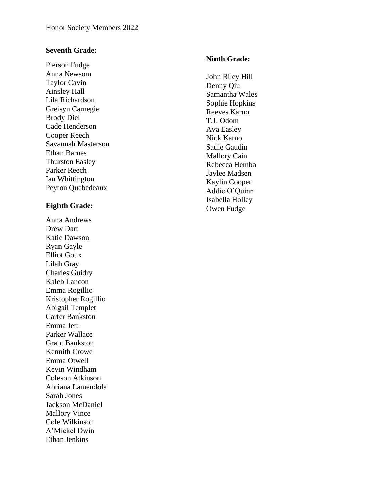# **Seventh Grade:**

Pierson Fudge Anna Newsom Taylor Cavin Ainsley Hall Lila Richardson Greisyn Carnegie Brody Diel Cade Henderson Cooper Reech Savannah Masterson Ethan Barnes Thurston Easley Parker Reech Ian Whittington Peyton Quebedeaux

# **Eighth Grade:**

Anna Andrews Drew Dart Katie Dawson Ryan Gayle Elliot Goux Lilah Gray Charles Guidry Kaleb Lancon Emma Rogillio Kristopher Rogillio Abigail Templet Carter Bankston Emma Jett Parker Wallace Grant Bankston Kennith Crowe Emma Otwell Kevin Windham Coleson Atkinson Abriana Lamendola Sarah Jones Jackson McDaniel Mallory Vince Cole Wilkinson A'Mickel Dwin Ethan Jenkins

### **Ninth Grade:**

John Riley Hill Denny Qiu Samantha Wales Sophie Hopkins Reeves Karno T.J. Odom Ava Easley Nick Karno Sadie Gaudin Mallory Cain Rebecca Hemba Jaylee Madsen Kaylin Cooper Addie O'Quinn Isabella Holley Owen Fudge